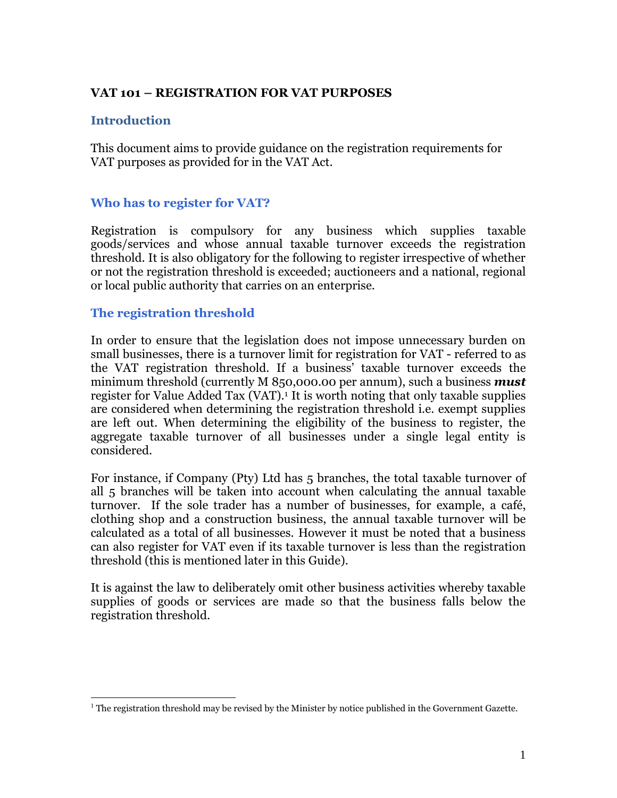### **VAT 101 – REGISTRATION FOR VAT PURPOSES**

#### **Introduction**

 $\overline{a}$ 

This document aims to provide guidance on the registration requirements for VAT purposes as provided for in the VAT Act.

#### **Who has to register for VAT?**

Registration is compulsory for any business which supplies taxable goods/services and whose annual taxable turnover exceeds the registration threshold. It is also obligatory for the following to register irrespective of whether or not the registration threshold is exceeded; auctioneers and a national, regional or local public authority that carries on an enterprise.

#### **The registration threshold**

In order to ensure that the legislation does not impose unnecessary burden on small businesses, there is a turnover limit for registration for VAT - referred to as the VAT registration threshold. If a business' taxable turnover exceeds the minimum threshold (currently M 850,000.00 per annum), such a business *must* register for Value Added Tax (VAT).<sup>1</sup> It is worth noting that only taxable supplies are considered when determining the registration threshold i.e. exempt supplies are left out. When determining the eligibility of the business to register, the aggregate taxable turnover of all businesses under a single legal entity is considered.

For instance, if Company (Pty) Ltd has 5 branches, the total taxable turnover of all 5 branches will be taken into account when calculating the annual taxable turnover. If the sole trader has a number of businesses, for example, a café, clothing shop and a construction business, the annual taxable turnover will be calculated as a total of all businesses. However it must be noted that a business can also register for VAT even if its taxable turnover is less than the registration threshold (this is mentioned later in this Guide).

It is against the law to deliberately omit other business activities whereby taxable supplies of goods or services are made so that the business falls below the registration threshold.

 $<sup>1</sup>$  The registration threshold may be revised by the Minister by notice published in the Government Gazette.</sup>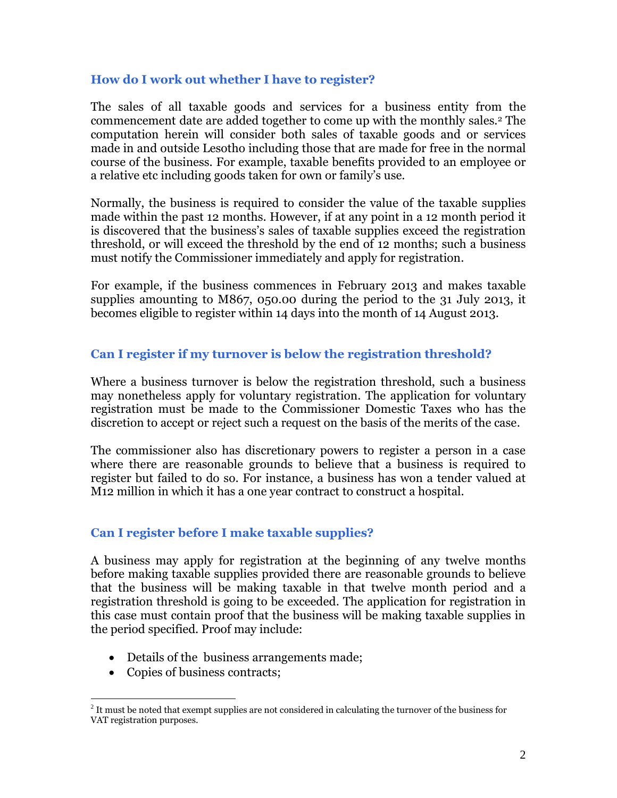#### **How do I work out whether I have to register?**

The sales of all taxable goods and services for a business entity from the commencement date are added together to come up with the monthly sales.<sup>2</sup> The computation herein will consider both sales of taxable goods and or services made in and outside Lesotho including those that are made for free in the normal course of the business. For example, taxable benefits provided to an employee or a relative etc including goods taken for own or family's use.

Normally, the business is required to consider the value of the taxable supplies made within the past 12 months. However, if at any point in a 12 month period it is discovered that the business's sales of taxable supplies exceed the registration threshold, or will exceed the threshold by the end of 12 months; such a business must notify the Commissioner immediately and apply for registration.

For example, if the business commences in February 2013 and makes taxable supplies amounting to M867, 050.00 during the period to the 31 July 2013, it becomes eligible to register within 14 days into the month of 14 August 2013.

### **Can I register if my turnover is below the registration threshold?**

Where a business turnover is below the registration threshold, such a business may nonetheless apply for voluntary registration. The application for voluntary registration must be made to the Commissioner Domestic Taxes who has the discretion to accept or reject such a request on the basis of the merits of the case.

The commissioner also has discretionary powers to register a person in a case where there are reasonable grounds to believe that a business is required to register but failed to do so. For instance, a business has won a tender valued at M12 million in which it has a one year contract to construct a hospital.

### **Can I register before I make taxable supplies?**

A business may apply for registration at the beginning of any twelve months before making taxable supplies provided there are reasonable grounds to believe that the business will be making taxable in that twelve month period and a registration threshold is going to be exceeded. The application for registration in this case must contain proof that the business will be making taxable supplies in the period specified. Proof may include:

- Details of the business arrangements made;
- Copies of business contracts;

<sup>&</sup>lt;sup>2</sup> It must be noted that exempt supplies are not considered in calculating the turnover of the business for VAT registration purposes.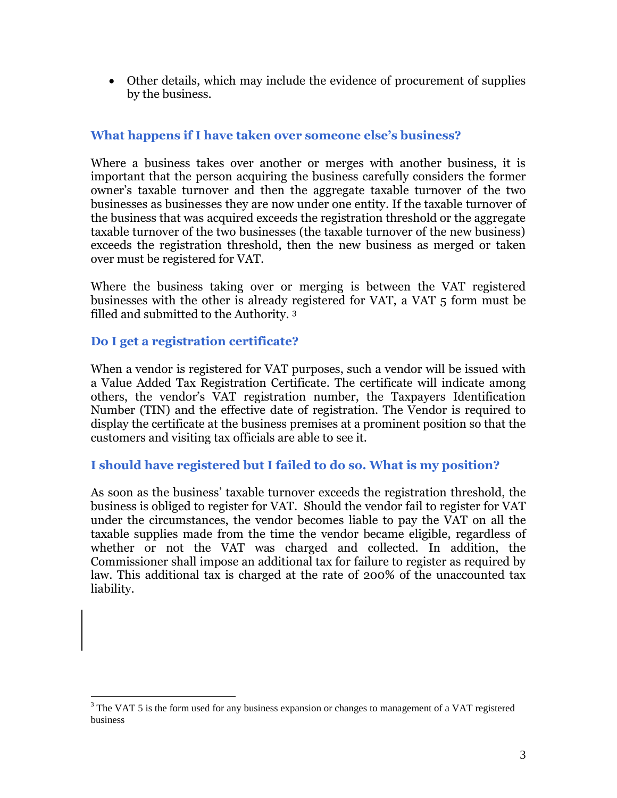Other details, which may include the evidence of procurement of supplies by the business.

## **What happens if I have taken over someone else's business?**

Where a business takes over another or merges with another business, it is important that the person acquiring the business carefully considers the former owner's taxable turnover and then the aggregate taxable turnover of the two businesses as businesses they are now under one entity. If the taxable turnover of the business that was acquired exceeds the registration threshold or the aggregate taxable turnover of the two businesses (the taxable turnover of the new business) exceeds the registration threshold, then the new business as merged or taken over must be registered for VAT.

Where the business taking over or merging is between the VAT registered businesses with the other is already registered for VAT, a VAT 5 form must be filled and submitted to the Authority. <sup>3</sup>

# **Do I get a registration certificate?**

 $\overline{a}$ 

When a vendor is registered for VAT purposes, such a vendor will be issued with a Value Added Tax Registration Certificate. The certificate will indicate among others, the vendor's VAT registration number, the Taxpayers Identification Number (TIN) and the effective date of registration. The Vendor is required to display the certificate at the business premises at a prominent position so that the customers and visiting tax officials are able to see it.

### **I should have registered but I failed to do so. What is my position?**

As soon as the business' taxable turnover exceeds the registration threshold, the business is obliged to register for VAT. Should the vendor fail to register for VAT under the circumstances, the vendor becomes liable to pay the VAT on all the taxable supplies made from the time the vendor became eligible, regardless of whether or not the VAT was charged and collected. In addition, the Commissioner shall impose an additional tax for failure to register as required by law. This additional tax is charged at the rate of 200% of the unaccounted tax liability.

 $3$  The VAT 5 is the form used for any business expansion or changes to management of a VAT registered business